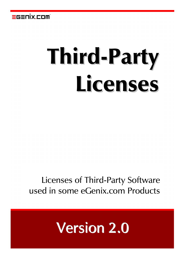

# Third-Party Licenses

# Licenses of Third-Party Software used in some eGenix.com Products

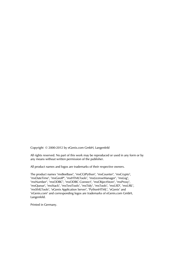Copyright 2000-2012 by eGenix.com GmbH, Langenfeld

All rights reserved. No part of this work may be reproduced or used in any form or by any means without written permission of the publisher.

All product names and logos are trademarks of their respective owners.

The product names "mxBeeBase", "mxCGIPython", "mxCounter", "mxCrypto", "mxDateTime", "mxGeoIP", "mxHTMLTools", "mxLicenseManager", "mxLog", "mxNumber", "mxODBC", "mxODBC Connect", "mxObjectStore", "mxProxy", "mxQueue", "mxStack", "mxTextTools", "mxTidy", "mxTools", "mxUID", "mxURL", "mxXMLTools", "eGenix Application Server", "PythonHTML", "eGenix" and "eGenix.com" and corresponding logos are trademarks of eGenix.com GmbH, Langenfeld.

Printed in Germany.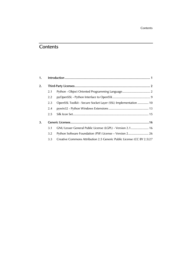# **Contents**

| 1. |     |                                                                       |  |  |
|----|-----|-----------------------------------------------------------------------|--|--|
| 2. |     |                                                                       |  |  |
|    | 2.1 |                                                                       |  |  |
|    | 2.2 |                                                                       |  |  |
|    | 2.3 | OpenSSL Toolkit - Secure Socket Layer (SSL) Implementation  10        |  |  |
|    | 2.4 |                                                                       |  |  |
|    | 2.5 |                                                                       |  |  |
| 3. |     |                                                                       |  |  |
|    | 3.1 | GNU Lesser General Public License (LGPL) - Version 2.1 16             |  |  |
|    | 3.2 | Python Software Foundation (PSF) License - Version 2 26               |  |  |
|    | 3.3 | Creative Commons Attribution 2.5 Generic Public License (CC BY 2.5)27 |  |  |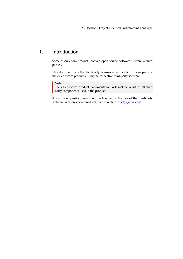2.1. Python - Object Oriented Programming Language

# <span id="page-4-0"></span>1. Introduction

Some eGenix.com products contain open-source software written by third parties.

This document lists the third-party licenses which apply to those parts of the eGenix.com products using the respective third-party software.

# Note:

The eGenix.com product documentation will include a list of all third party components used in the product.

If you have questions regarding the licenses or the use of the third-party software in eGenix.com products, please write to *[info@egenix.com](mailto:info@egenix.com)*.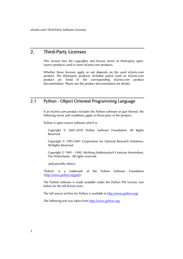# <span id="page-5-0"></span>2. Third-Party Licenses

This section lists the copyrights and license terms of third-party opensource products used in some eGenix.com products.

Whether these licenses apply or not depends on the used eGenix.com product. The third-party products included and/or used an eGenix.com product are listed in the corresponding eGenix.com product documentation. Please see the product documentation for details.

# 2.1 Python - Object Oriented Programming Language

If an eGenix.com product includes the Python software or part thereof, the following terms and conditions apply to those parts of the product:

Python is open-source software which is:

Copyright © 2001-2010 Python Software Foundation; All Rights Reserved

Copyright © 1995-2001 Corporation for National Research Initiatives; All Rights Reserved

Copyright © 1991 - 1995, Stichting Mathematisch Centrum Amsterdam, The Netherlands. All rights reserved.

(and possibly others)

"Python" is a trademark of the Python Software Foundation (*<http://www.python.org/psf/>*).

The Python software is made available under the Python PSF License (see below for the full license text).

The full source archive for Python is available at *<http://www.python.org/>*.

The following text was taken from *<http://www.python.org/>*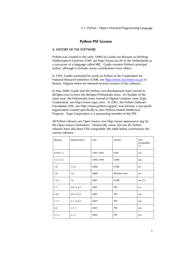2.1. Python - Object Oriented Programming Language

# Python PSF License

# A. HISTORY OF THE SOFTWARE

Python was created in the early 1990s by Guido van Rossum at Stichting Mathematisch Centrum (CWI, see http://www.cwi.nl) in the Netherlands as a successor of a language called ABC. Guido remains Python's principal author, although it includes many contributions from others.

In 1995, Guido continued his work on Python at the Corporation for National Research Initiatives (CNRI, see *[http://www.cnri.reston.va.us](http://www.cnri.reston.va.us/)*) in Reston, Virginia where he released several versions of the software.

In May 2000, Guido and the Python core development team moved to BeOpen.com to form the BeOpen PythonLabs team. In October of the same year, the PythonLabs team moved to Digital Creations (now Zope Corporation, see http://www.zope.com). In 2001, the Python Software Foundation (PSF, see http://www.python.org/psf/) was formed, a non-profit organization created specifically to own Python-related Intellectual Property. Zope Corporation is a sponsoring member of the PSF.

All Python releases are Open Source (see http://www.opensource.org for the Open Source Definition). Historically, most, but not all, Python releases have also been GPL-compatible; the table below summarizes the various releases.

| Release       | Derived from  | Year      | Owner       | GPL-<br>compatible<br>(1) |
|---------------|---------------|-----------|-------------|---------------------------|
| $0.9.0 - 1.2$ |               | 1991-1995 | <b>CWI</b>  | yes                       |
| $1.3 - 1.5.2$ |               | 1995-1999 | <b>CNRI</b> | yes                       |
| 1.6           | 1.5.2         | 2000      | <b>CNRI</b> | no                        |
| 2.0           | 1.6           | 2000      | BeOpen.com  | no                        |
| 1.6.1         | 1.6           | 2001      | <b>CNRI</b> | yes (2)                   |
| 2.1           | $2.0 + 1.6.1$ | 2001      | <b>PSF</b>  | no                        |
| 2.0.1         | $2.0 + 1.6.1$ | 2001      | <b>PSF</b>  | yes                       |
| 2.1.1         | $2.1 + 2.0.1$ | 2001      | <b>PSF</b>  | yes                       |
| 2.2           | 2.1.1         | 2001      | <b>PSF</b>  | yes                       |
| 2.1.2         | 2.1.1         | 2002      | <b>PSF</b>  | yes                       |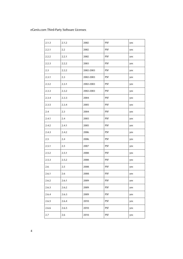| 2.1.3 | 2.1.2   | 2002      | <b>PSF</b> | yes |
|-------|---------|-----------|------------|-----|
| 2.2.1 | 2.2     | 2002      | <b>PSF</b> | yes |
| 2.2.2 | 2.2.1   | 2002      | <b>PSF</b> | yes |
| 2.2.3 | 2.2.2   | 2003      | <b>PSF</b> | yes |
| 2.3   | 2.2.2   | 2002-2003 | <b>PSF</b> | yes |
| 2.3.1 | $2.3\,$ | 2002-2003 | <b>PSF</b> | yes |
| 2.3.2 | 2.3.1   | 2002-2003 | <b>PSF</b> | yes |
| 2.3.3 | 2.3.2   | 2002-2003 | <b>PSF</b> | yes |
| 2.3.4 | 2.3.3   | 2004      | <b>PSF</b> | yes |
| 2.3.5 | 2.3.4   | 2005      | <b>PSF</b> | yes |
| 2.4   | 2.3     | 2004      | <b>PSF</b> | yes |
| 2.4.1 | 2.4     | 2005      | <b>PSF</b> | yes |
| 2.4.2 | 2.4.1   | 2005      | <b>PSF</b> | yes |
| 2.4.3 | 2.4.2   | 2006      | <b>PSF</b> | yes |
| 2.5   | 2.4     | 2006      | <b>PSF</b> | yes |
| 2.5.1 | 2.5     | 2007      | <b>PSF</b> | yes |
| 2.5.2 | 2.5.1   | 2008      | <b>PSF</b> | yes |
| 2.5.3 | 2.5.2   | 2008      | <b>PSF</b> | yes |
| 2.6   | 2.5     | 2008      | <b>PSF</b> | yes |
| 2.6.1 | 2.6     | 2008      | <b>PSF</b> | yes |
| 2.6.2 | 2.6.1   | 2009      | <b>PSF</b> | yes |
| 2.6.3 | 2.6.2   | 2009      | <b>PSF</b> | yes |
| 2.6.4 | 2.6.3   | 2009      | <b>PSF</b> | yes |
| 2.6.5 | 2.6.4   | 2010      | <b>PSF</b> | yes |
| 2.6.6 | 2.6.5   | 2010      | <b>PSF</b> | yes |
| 2.7   | 2.6     | 2010      | <b>PSF</b> | yes |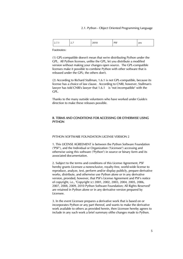2.1. Python - Object Oriented Programming Language

| DC E<br>-<br>yes<br>. טו<br>20 I V<br>$\sim \cdot$<br><u>.</u><br>-- - -<br>. |  |
|-------------------------------------------------------------------------------|--|
|-------------------------------------------------------------------------------|--|

Footnotes:

(1) GPL-compatible doesn't mean that we're distributing Python under the GPL. All Python licenses, unlike the GPL, let you distribute a modified version without making your changes open source. The GPL-compatible licenses make it possible to combine Python with other software that is released under the GPL; the others don't.

(2) According to Richard Stallman, 1.6.1 is not GPL-compatible, because its license has a choice of law clause. According to CNRI, however, Stallman's lawyer has told CNRI's lawyer that 1.6.1 is "not incompatible" with the GPL.

Thanks to the many outside volunteers who have worked under Guido's direction to make these releases possible.

# B. TERMS AND CONDITIONS FOR ACCESSING OR OTHERWISE USING **PYTHON**

# PYTHON SOFTWARE FOUNDATION LICENSE VERSION 2

1. This LICENSE AGREEMENT is between the Python Software Foundation ("PSF"), and the Individual or Organization ("Licensee") accessing and otherwise using this software ("Python") in source or binary form and its associated documentation.

2. Subject to the terms and conditions of this License Agreement, PSF hereby grants Licensee a nonexclusive, royalty-free, world-wide license to reproduce, analyze, test, perform and/or display publicly, prepare derivative works, distribute, and otherwise use Python alone or in any derivative version, provided, however, that PSF's License Agreement and PSF's notice of copyright, i.e., "Copyright (c) 2001, 2002, 2003, 2004, 2005, 2006, 2007, 2008, 2009, 2010 Python Software Foundation; All Rights Reserved" are retained in Python alone or in any derivative version prepared by Licensee.

3. In the event Licensee prepares a derivative work that is based on or incorporates Python or any part thereof, and wants to make the derivative work available to others as provided herein, then Licensee hereby agrees to include in any such work a brief summary ofthe changes made to Python.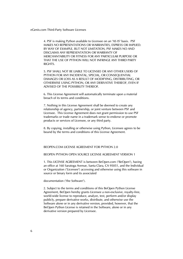4. PSF is making Python available to Licensee on an "AS IS" basis. PSF MAKES NO REPRESENTATIONS OR WARRANTIES, EXPRESS OR IMPLIED. BY WAY OF EXAMPLE, BUT NOT LIMITATION, PSF MAKES NO AND DISCLAIMS ANY REPRESENTATION OR WARRANTY OF MERCHANTABILITY OR FITNESS FOR ANY PARTICULAR PURPOSE OR THAT THE USE OF PYTHON WILL NOT INFRINGE ANY THIRD PARTY RIGHTS.

5. PSF SHALL NOT BE LIABLE TO LICENSEE OR ANY OTHER USERS OF PYTHON FOR ANY INCIDENTAL, SPECIAL, OR CONSEQUENTIAL DAMAGES OR LOSS AS A RESULT OF MODIFYING, DISTRIBUTING, OR OTHERWISE USING PYTHON, OR ANY DERIVATIVE THEREOF, EVEN IF ADVISED OF THE POSSIBILITY THEREOF.

6. This License Agreement will automatically terminate upon a material breach of its terms and conditions.

7. Nothing in this License Agreement shall be deemed to create any relationship of agency, partnership, or joint venture between PSF and Licensee. This License Agreement does not grant permission to use PSF trademarks or trade name in a trademark sense to endorse or promote products or services of Licensee, or any third party.

8. By copying, installing or otherwise using Python, Licensee agrees to be bound by the terms and conditions of this License Agreement.

# BEOPEN.COM LICENSE AGREEMENT FOR PYTHON 2.0

## BEOPEN PYTHON OPEN SOURCE LICENSE AGREEMENT VERSION 1

1. This LICENSE AGREEMENT is between BeOpen.com ("BeOpen"), having an office at 160 Saratoga Avenue, Santa Clara, CA 95051, and the Individual or Organization ("Licensee") accessing and otherwise using this software in source or binary form and its associated

documentation ("the Software").

2. Subject to the terms and conditions of this BeOpen Python License Agreement, BeOpen hereby grants Licensee a non-exclusive, royalty-free, world-wide license to reproduce, analyze, test, perform and/or display publicly, prepare derivative works, distribute, and otherwise use the Software alone or in any derivative version, provided, however, that the BeOpen Python License is retained in the Software, alone or in any derivative version prepared by Licensee.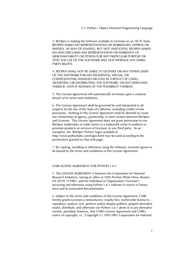2.1. Python - Object Oriented Programming Language

3. BeOpen is making the Software available to Licensee on an "AS IS" basis. BEOPEN MAKES NO REPRESENTATIONS OR WARRANTIES, EXPRESS OR IMPLIED. BY WAY OF EXAMPLE, BUT NOT LIMITATION, BEOPEN MAKES NO AND DISCLAIMS ANY REPRESENTATION OR WARRANTY OF MERCHANTABILITY OR FITNESS FOR ANY PARTICULAR PURPOSE OR THAT THE USE OF THE SOFTWARE WILL NOT INFRINGE ANY THIRD PARTY RIGHTS.

4. BEOPEN SHALL NOT BE LIABLE TO LICENSEE OR ANY OTHER USERS OF THE SOFTWARE FOR ANY INCIDENTAL, SPECIAL, OR CONSEQUENTIAL DAMAGES OR LOSS AS A RESULT OF USING, MODIFYING OR DISTRIBUTING THE SOFTWARE, OR ANY DERIVATIVE THEREOF, EVEN IF ADVISED OF THE POSSIBILITY THEREOF.

5. This License Agreement will automatically terminate upon a material breach of its terms and conditions.

6. This License Agreement shall be governed by and interpreted in all respects by the law of the State of California, excluding conflict of law provisions. Nothing in this License Agreement shall be deemed to create any relationship of agency, partnership, or joint venture between BeOpen and Licensee. This License Agreement does not grant permission to use BeOpen trademarks or trade names in a trademark sense to endorse or promote products or services of Licensee, or any third party. As an exception, the "BeOpen Python" logos available at http://www.pythonlabs.com/logos.html may be used according to the permissions granted on that web page.

7. By copying, installing or otherwise using the software, Licensee agrees to be bound by the terms and conditions of this License Agreement.

# CNRI LICENSE AGREEMENT FOR PYTHON 1.6.1

1. This LICENSE AGREEMENT is between the Corporation for National Research Initiatives, having an office at 1895 Preston White Drive, Reston, VA 20191 ("CNRI"), and the Individual or Organization ("Licensee") accessing and otherwise using Python 1.6.1 software in source or binary form and its associated documentation.

2. Subject to the terms and conditions of this License Agreement, CNRI hereby grants Licensee a nonexclusive, royalty-free, world-wide license to reproduce, analyze, test, perform and/or display publicly, prepare derivative works, distribute, and otherwise use Python 1.6.1 alone or in any derivative version, provided, however, that CNRI's License Agreement and CNRI's notice of copyright, i.e., "Copyright (c) 1995-2001 Corporation for National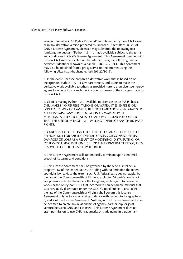Research Initiatives; All Rights Reserved" are retained in Python 1.6.1 alone or in any derivative version prepared by Licensee. Alternately, in lieu of CNRI's License Agreement, Licensee may substitute the following text (omitting the quotes): "Python 1.6.1 is made available subject to the terms and conditions in CNRI's License Agreement. This Agreement together with Python 1.6.1 may be located on the Internet using the following unique, persistent identifier (known as a handle): 1895.22/1013. This Agreement may also be obtained from a proxy server on the Internet using the following URL: http://hdl.handle.net/1895.22/1013".

3. In the event Licensee prepares a derivative work that is based on or incorporates Python 1.6.1 or any part thereof, and wants to make the derivative work available to others as provided herein, then Licensee hereby agrees to include in any such work a brief summary of the changes made to Python 1.6.1.

4. CNRI is making Python 1.6.1 available to Licensee on an "AS IS" basis. CNRI MAKES NO REPRESENTATIONS OR WARRANTIES, EXPRESS OR IMPLIED. BY WAY OF EXAMPLE, BUT NOT LIMITATION, CNRI MAKES NO AND DISCLAIMS ANY REPRESENTATION OR WARRANTY OF MERCHANTABILITY OR FITNESS FOR ANY PARTICULAR PURPOSE OR THAT THE USE OF PYTHON 1.6.1 WILL NOT INFRINGE ANY THIRD PARTY RIGHTS.

5. CNRI SHALL NOT BE LIABLE TO LICENSEE OR ANY OTHER USERS OF PYTHON 1.6.1 FOR ANY INCIDENTAL, SPECIAL, OR CONSEQUENTIAL DAMAGES OR LOSS AS A RESULT OF MODIFYING, DISTRIBUTING, OR OTHERWISE USING PYTHON 1.6.1, OR ANY DERIVATIVE THEREOF, EVEN IF ADVISED OF THE POSSIBILITY THEREOF.

6. This License Agreement will automatically terminate upon a material breach of its terms and conditions.

7. This License Agreement shall be governed by the federal intellectual property law of the United States, including without limitation the federal copyright law, and, to the extent such U.S. federal law does not apply, by the law of the Commonwealth of Virginia, excluding Virginia's conflict of law provisions. Notwithstanding the foregoing, with regard to derivative works based on Python 1.6.1 that incorporate non-separable material that was previously distributed under the GNU General Public License (GPL), the law of the Commonwealth of Virginia shall govern this License Agreement only as to issues arising under or with respect to Paragraphs 4, 5, and 7 of this License Agreement. Nothing in this License Agreement shall be deemed to create any relationship of agency, partnership, or joint venture between CNRI and Licensee. This License Agreement does not grant permission to use CNRI trademarks or trade name in a trademark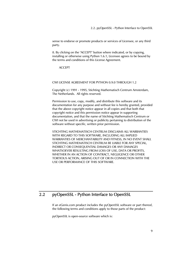<span id="page-12-0"></span>sense to endorse or promote products or services of Licensee, or any third party.

8. By clicking on the "ACCEPT" button where indicated, or by copying, installing or otherwise using Python 1.6.1, Licensee agrees to be bound by the terms and conditions of this License Agreement.

ACCEPT

# CWI LICENSE AGREEMENT FOR PYTHON 0.9.0 THROUGH 1.2

Copyright (c) 1991 - 1995, Stichting Mathematisch Centrum Amsterdam, The Netherlands. All rights reserved.

Permission to use, copy, modify, and distribute this software and its documentation for any purpose and without fee is hereby granted, provided that the above copyright notice appear in all copies and that both that copyright notice and this permission notice appear in supporting documentation, and that the name of Stichting Mathematisch Centrum or CWI not be used in advertising or publicity pertaining to distribution of the software without specific, written prior permission.

STICHTING MATHEMATISCH CENTRUM DISCLAIMS ALL WARRANTIES WITH REGARD TO THIS SOFTWARE, INCLUDING ALL IMPLIED WARRANTIES OF MERCHANTABILITY AND FITNESS, IN NO EVENT SHALL STICHTING MATHEMATISCH CENTRUM BE LIABLE FOR ANY SPECIAL, INDIRECT OR CONSEQUENTIAL DAMAGES OR ANY DAMAGES WHATSOEVER RESULTING FROM LOSS OF USE, DATA OR PROFITS, WHETHER IN AN ACTION OF CONTRACT, NEGLIGENCE OR OTHER TORTIOUS ACTION, ARISING OUT OF OR IN CONNECTION WITH THE USE OR PERFORMANCE OF THIS SOFTWARE.

# 2.2 pyOpenSSL - Python Interface to OpenSSL

If an eGenix.com product includes the pyOpenSSL software or part thereof, the following terms and conditions apply to those parts of the product:

pyOpenSSL is open-source software which is: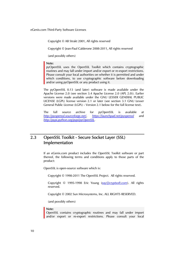<span id="page-13-0"></span>Copyright © AB Strakt 2001, All rights reserved

Copyright © Jean-Paul Calderone 2008-2011, All rights reserved

(and possibly others)

### Note:

pyOpenSSL uses the OpenSSL Toolkit which contains cryptographic routines and may fall under import and/or export or re-export restrictions. Please consult your local authorities on whether it is permitted and under which conditions, to use cryptographic software before downloading and/or using pyOpenSSL or any product using it.

The pyOpenSSL 0.13 (and later) software is made available under the Apache License 2.0 (see section [3.4 Apache License 2.0 \(APL 2.0\)\)](#page-36-0). Earlier versions were made available under the GNU LESSER GENERAL PUBLIC LICENSE (LGPL) license version 2.1 or later (see section [3.1 GNU Lesser](#page-19-1)  [General Public License \(LGPL\) - Version 2.1](#page-19-1) below for the full license text).

The full source archive for pyOpenSSL is available at *<http://pyopenssl.sourceforge.net/>*, *<https://launchpad.net/pyopenssl>* and *<http://pypi.python.org/pypi/pyOpenSSL>*.

# 2.3 OpenSSL Toolkit - Secure Socket Layer (SSL) Implementation

If an eGenix.com product includes the OpenSSL Toolkit software or part thereof, the following terms and conditions apply to those parts of the product:

OpenSSL is open-source software which is:

Copyright © 1998-2011 The OpenSSL Project. All rights reserved.

Copyright © 1995-1998 Eric Young (*[eay@cryptsoft.com](mailto:eay@cryptsoft.com)*). All rights reserved.

Copyright © 2002 Sun Microsystems, Inc. ALL RIGHTS RESERVED.

(and possibly others)

# Note:

OpenSSL contains cryptographic routines and may fall under import and/or export or re-export restrictions. Please consult your local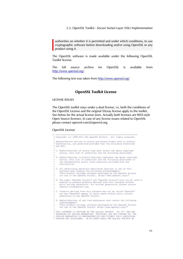2.3. OpenSSL Toolkit - Secure Socket Layer (SSL) Implementation

authorities on whether it is permitted and under which conditions, to use cryptographic software before downloading and/or using OpenSSL or any product using it.

The OpenSSL software is made available under the following OpenSSL Toolkit license.

The full source archive for OpenSSL is available from *<http://www.openssl.org/>*.

The following text was taken from *<http://www.openssl.org/>*

# OpenSSL Toolkit License

# LICENSE ISSUES

The OpenSSL toolkit stays under a dual license, i.e. both the conditions of the OpenSSL License and the original SSLeay license apply to the toolkit. See below for the actual license texts. Actually both licenses are BSD-style Open Source licenses. In case of any license issues related to OpenSSL please contact openssl-core@openssl.org.

# OpenSSL License

|                                               | * Copyright (c) 1998-2011 The OpenSSL Project. All rights reserved.                                                                                                                                                                                                                         |
|-----------------------------------------------|---------------------------------------------------------------------------------------------------------------------------------------------------------------------------------------------------------------------------------------------------------------------------------------------|
| *<br>$\star$                                  | * Redistribution and use in source and binary forms, with or without<br>modification, are permitted provided that the following conditions<br>are met:                                                                                                                                      |
| *<br>$\star$<br>$\star$                       | 1. Redistributions of source code must retain the above copyright<br>notice, this list of conditions and the following disclaimer.                                                                                                                                                          |
| *<br>$\star$<br>$\star$<br>$\star$<br>÷       | 2. Redistributions in binary form must reproduce the above copyright<br>notice, this list of conditions and the following disclaimer in<br>the documentation and/or other materials provided with the<br>distribution.                                                                      |
| *<br>$\star$<br>$\star$<br>$\star$<br>$\star$ | 3. All advertising materials mentioning features or use of this<br>software must display the following acknowledgment:<br>"This product includes software developed by the OpenSSL Project<br>for use in the OpenSSL Toolkit. (http://www.openssl.org/)"                                    |
| $\star$<br>$\star$<br>$\star$<br>*<br>$\star$ | 4. The names "OpenSSL Toolkit" and "OpenSSL Project" must not be used to<br>endorse or promote products derived from this software without<br>prior written permission. For written permission, please contact<br>openssl-core@openssl.org.                                                 |
| $\star$<br>$\star$<br>$\star$<br>$\star$      | 5. Products derived from this software may not be called "OpenSSL"<br>nor may "OpenSSL" appear in their names without prior written<br>permission of the OpenSSL Project.                                                                                                                   |
| *<br>$\star$<br>$\star$<br>$\star$            | 6. Redistributions of any form whatsoever must retain the following<br>acknowledgment:<br>"This product includes software developed by the OpenSSL Project<br>for use in the OpenSSL Toolkit (http://www.openssl.org/)"                                                                     |
|                                               | * THIS SOFTWARE IS PROVIDED BY THE OpenSSL PROJECT ''AS IS'' AND ANY<br>* EXPRESSED OR IMPLIED WARRANTIES, INCLUDING, BUT NOT LIMITED TO, THE<br>* IMPLIED WARRANTIES OF MERCHANTABILITY AND FITNESS FOR A PARTICULAR<br>* PURPOSE ARE DISCLAIMED. IN NO EVENT SHALL THE OpenSSL PROJECT OR |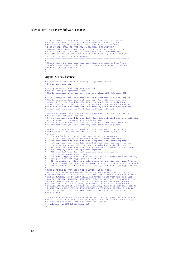```
 * ITS CONTRIBUTORS BE LIABLE FOR ANY DIRECT, INDIRECT, INCIDENTAL, 
 * SPECIAL, EXEMPLARY, OR CONSEQUENTIAL DAMAGES (INCLUDING, BUT 
  * NOT LIMITED TO, PROCUREMENT OF SUBSTITUTE GOODS OR SERVICES; 
 * LOSS OF USE, DATA, OR PROFITS; OR BUSINESS INTERRUPTION) 
 * HOWEVER CAUSED AND ON ANY THEORY OF LIABILITY, WHETHER IN CONTRACT, 
 * STRICT LIABILITY, OR TORT (INCLUDING NEGLIGENCE OR OTHERWISE) 
 * ARISING IN ANY WAY OUT OF THE USE OF THIS SOFTWARE, EVEN IF ADVISED 
  * OF THE POSSIBILITY OF SUCH DAMAGE. 
                * ==================================================================== 
 * 
 * This product includes cryptographic software written by Eric Young 
 * (eay@cryptsoft.com). This product includes software written by Tim 
 * Hudson (tjh@cryptsoft.com). 
\vec{r}Original SSLeay License
/* Copyright (C) 1995-1998 Eric Young (eay@cryptsoft.com) 
 * All rights reserved.
 * 
   * This package is an SSL implementation written 
 * by Eric Young (eay@cryptsoft.com). 
 * The implementation was written so as to conform with Netscapes SSL. 
 * 
  * This library is free for commercial and non-commercial use as long as 
  * the following conditions are aheared to. The following conditions 
 * apply to all code found in this distribution, be it the RC4, RSA, 
 * lhash, DES, etc., code; not just the SSL code. The SSL documentation 
 * included with this distribution is covered by the same copyright terms 
   * except that the holder is Tim Hudson (tjh@cryptsoft.com). 
 * 
 * Copyright remains Eric Young's, and as such any Copyright notices in 
    the code are not to be removed.
 * If this package is used in a product, Eric Young should be given attribution 
 * as the author of the parts of the library used. 
  * This can be in the form of a textual message at program startup or 
   * in documentation (online or textual) provided with the package. 
 * 
 * Redistribution and use in source and binary forms, with or without 
    modification, are permitted provided that the following conditions
   * are met: 
   * 1. Redistributions of source code must retain the copyright 
 * notice, this list of conditions and the following disclaimer. 
 * 2. Redistributions in binary form must reproduce the above copyright 
 * notice, this list of conditions and the following disclaimer in the 
 * documentation and/or other materials provided with the distribution. 
   * 3. All advertising materials mentioning features or use of this software 
        must display the following acknowledgement:
         "This product includes cryptographic software written by
 * Eric Young (eay@cryptsoft.com)" 
 * The word 'cryptographic' can be left out if the rouines from the library 
        being used are not cryptographic related :-).
 * 4. If you include any Windows specific code (or a derivative thereof) from 
 * the apps directory (application code) you must include an acknowledgement: 
        "This product includes software written by Tim Hudson (tjh@cryptsoft.com)'
 * 
 * THIS SOFTWARE IS PROVIDED BY ERIC YOUNG ``AS IS'' AND 
 * ANY EXPRESS OR IMPLIED WARRANTIES, INCLUDING, BUT NOT LIMITED TO, THE 
 * IMPLIED WARRANTIES OF MERCHANTABILITY AND FITNESS FOR A PARTICULAR PURPOSE 
   * ARE DISCLAIMED. IN NO EVENT SHALL THE AUTHOR OR CONTRIBUTORS BE LIABLE 
 * FOR ANY DIRECT, INDIRECT, INCIDENTAL, SPECIAL, EXEMPLARY, OR CONSEQUENTIAL 
 * DAMAGES (INCLUDING, BUT NOT LIMITED TO, PROCUREMENT OF SUBSTITUTE GOODS 
 * OR SERVICES; LOSS OF USE, DATA, OR PROFITS; OR BUSINESS INTERRUPTION) 
 * HOWEVER CAUSED AND ON ANY THEORY OF LIABILITY, WHETHER IN CONTRACT, STRICT 
   * LIABILITY, OR TORT (INCLUDING NEGLIGENCE OR OTHERWISE) ARISING IN ANY WAY 
   * OUT OF THE USE OF THIS SOFTWARE, EVEN IF ADVISED OF THE POSSIBILITY OF 
  * SUCH DAMAGE. 
 * 
 * The licence and distribution terms for any publically available version or 
 * derivative of this code cannot be changed. i.e. this code cannot simply be 
   * copied and put under another distribution licence
```
[including the GNU Public Licence.] \*/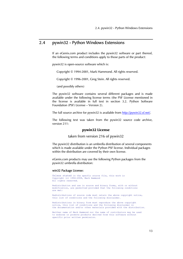# <span id="page-16-0"></span>2.4 pywin32 - Python Windows Extensions

If an eGenix.com product includes the pywin32 software or part thereof, the following terms and conditions apply to those parts of the product:

pywin32 is open-source software which is:

Copyright © 1994-2001, Mark Hammond. All rights reserved.

Copyright © 1996-2001, Greg Stein. All rights reserved.

(and possibly others)

The pywin32 software contains several different packages and is made available under the following license terms (the PSF License mentioned in the license is available in full text in section [3.2.](#page-29-1) [Python Software](#page-29-1)  [Foundation \(PSF\) License – Version 2\)](#page-29-1).

The full source archive for pywin32 is available from *<http://pywin32.sf.net/>*.

The following text was taken from the pywin32 source code archive, version 211:

# pywin32 License

taken from version 216 of pywin32

The pywin32 distribution is an umbrella distribution of several components which is made available under the Python PSF license. Individual packages within the distribution are covered by their own license.

eGenix.com products may use the following Python packages from the pywin32 umbrella distribution:

### win32 Package License:

Unless stated in the specfic source file, this work is Copyright (c) 1994-2008, Mark Hammond All rights reserved.

Redistribution and use in source and binary forms, with or without modification, are permitted provided that the following conditions are met:

Redistributions of source code must retain the above copyright notice, this list of conditions and the following disclaimer.

Redistributions in binary form must reproduce the above copyright notice, this list of conditions and the following disclaimer in the documentation and/or other materials provided with the distribution.

Neither name of Mark Hammond nor the name of contributors may be used to endorse or promote products derived from this software without specific prior written permission.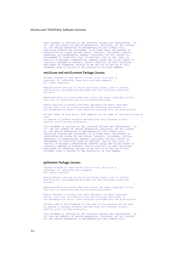THIS SOFTWARE IS PROVIDED BY THE COPYRIGHT HOLDERS AND CONTRIBUTORS ``AS<br>IS'' AND ANY EXPRESS OR IMPLIED WARRANTIES, INCLUDING, BUT NOT LIMITED<br>TO, THE IMPLIED WARRANTIES OF MERCHANTABILITY AND FITNESS FOR A PARTICULAR PURPOSE ARE DISCLAIMED. IN NO EVENT SHALL THE REGENTS OR CONTRIBUTORS BE LIABLE FOR ANY DIRECT, INDIRECT, INCIDENTAL, SPECIAL, EXEMPLARY, OR CONSEQUENTIAL DAMAGES (INCLUDING, BUT NOT LIMITED TO, PROCUREMENT OF SUBSTITUTE GOODS OR SERVICES; LOSS OF USE, DATA, OR PROFITS; OR BUSINESS INTERRUPTION) HOWEVER CAUSED AND ON ANY THEORY OF LIABILITY, WHETHER IN CONTRACT, STRICT LIABILITY, OR TORT (INCLUDING NEGLIGENCE OR OTHERWISE) ARISING IN ANY WAY OUT OF THE USE OF THIS SOFTWARE, EVEN IF ADVISED OF THE POSSIBILITY OF SUCH DAMAGE.

### win32com and win32comext Package License:

Unless stated in the specfic source file, this work is Copyright (c) 1996-2008, Greg Stein and Mark Hammond. All rights reserved.

Redistribution and use in source and binary forms, with or without modification, are permitted provided that the following conditions are met:

Redistributions of source code must retain the above copyright notice, this list of conditions and the following disclaimer.

Redistributions in binary form must reproduce the above copyright notice, this list of conditions and the following disclaimer in the documentation and/or other materials provided with the distribution.

Neither names of Greg Stein, Mark Hammond nor the name of contributors may be used

to endorse or promote products derived from this software without specific prior written permission.

THIS SOFTWARE IS PROVIDED BY THE COPYRIGHT HOLDERS AND CONTRIBUTORS ``AS IS'' AND ANY EXPRESS OR IMPLIED WARRANTIES, INCLUDING, BUT NOT LIMITED TO, THE IMPLIED WARRANTIES OF MERCHANTABILITY AND FITNESS FOR A PARTICULAR PURPOSE ARE DISCLAIMED. IN NO EVENT SHALL THE REGENTS OR CONTRIBUTORS BE LIABLE FOR ANY DIRECT, INDIRECT, INCIDENTAL, SPECIAL, EXEMPLARY, OR CONSEQUENTIAL DAMAGES (INCLUDING, BUT NOT LIMITED TO, PROCUREMENT OF SUBSTITUTE GOODS OR SERVICES; LOSS OF USE, DATA, OR PROFITS; OR BUSINESS INTERRUPTION) HOWEVER CAUSED AND ON ANY THEORY OF LIABILITY, WHETHER IN CONTRACT, STRICT LIABILITY, OR TORT (INCLUDING NEGLIGENCE OR OTHERWISE) ARISING IN ANY WAY OUT OF THE USE OF THIS SOFTWARE, EVEN IF ADVISED OF THE POSSIBILITY OF SUCH DAMAGE.

# pythonwin Package License:

Unless stated in the specfic source file, this work is Copyright (c) 1994-2008, Mark Hammond All rights reserved.

Redistribution and use in source and binary forms, with or without modification, are permitted provided that the following conditions are met:

Redistributions of source code must retain the above copyright notice, this list of conditions and the following disclaimer.

Redistributions in binary form must reproduce the above copyright notice, this list of conditions and the following disclaimer in the documentation and/or other materials provided with the distribution.

Neither name of Mark Hammond nor the name of contributors may be used to endorse or promote products derived from this software without specific prior written permission.

THIS SOFTWARE IS PROVIDED BY THE COPYRIGHT HOLDERS AND CONTRIBUTORS ``AS IS'' AND ANY EXPRESS OR IMPLIED WARRANTIES, INCLUDING, BUT NOT LIMITED TO, THE IMPLIED WARRANTIES OF MERCHANTABILITY AND FITNESS FOR A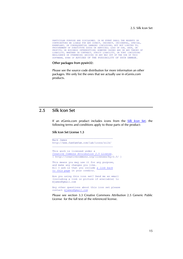<span id="page-18-0"></span>PARTICULAR PURPOSE ARE DISCLAIMED. IN NO EVENT SHALL THE REGENTS OR CONTRIBUTORS BE LIABLE FOR ANY DIRECT, INDIRECT, INCIDENTAL, SPECIAL,<br>EXEMPLARY, OR CONSEQUENTIAL DAMAGES (INCLUDING, BUT NOT LIMITED TO,<br>PROCUREMENT OF SUBSTITUTE GOODS OR SERVICES; LOSS OF USE, DATA, OR<br>PROFITS; OR BUSIN LIABILITY, WHETHER IN CONTRACT, STRICT LIABILITY, OR TORT (INCLUDING NEGLIGENCE OR OTHERWISE) ARISING IN ANY WAY OUT OF THE USE OF THIS SOFTWARE, EVEN IF ADVISED OF THE POSSIBILITY OF SUCH DAMAGE.

### Other packages from pywin32:

Please see the source code distribution for more information an other packages. We only list the ones that we actually use in eGenix.com products.

# 2.5 Silk Icon Set

If an eGenix.com product includes icons from the *[Silk Icon Set](http://www.famfamfam.com/lab/icons/silk/)*, the following terms and conditions apply to those parts of the product:

# Silk Icon Set License 1.3

```
\mathcal{L}_\text{max} and \mathcal{L}_\text{max} and \mathcal{L}_\text{max} and \mathcal{L}_\text{max}Mark James 
http://www.famfamfam.com/lab/icons/silk/ 
This work is licensed under a 
Creative Commons Attribution 2.5 License. 
[ http://creativecommons.org/licenses/by/2.5/ ] 
This means you may use it for any purpose,
and make any changes you like. 
All I ask is that you include a link back
to this page in your credits. 
Are you using this icon set? Send me an email 
(including a link or picture if available) to 
mjames@gmail.com 
Any other questions about this icon set please 
contact mjames@gmail.com
```
Please see section [3.3 Creative Commons Attribution 2.5 Generic Public](#page-30-1) [License](#page-30-1) for the full text of the referenced license.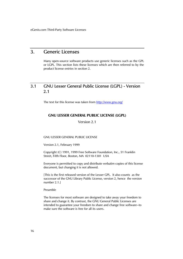# <span id="page-19-0"></span>3. Generic Licenses

Many open-source software products use generic licenses such as the GPL or LGPL. This section lists these licenses which are then referred to by the product license entries in section 2.

# <span id="page-19-1"></span>3.1 GNU Lesser General Public License (LGPL) - Version 2.1

The text for this license was taken from *<http://www.gnu.org/>*

# GNU LESSER GENERAL PUBLIC LICENSE (LGPL)

Version 2.1

## GNU LESSER GENERAL PUBLIC LICENSE

Version 2.1, February 1999

Copyright (C) 1991, 1999 Free Software Foundation, Inc., 51 Franklin Street, Fifth Floor, Boston, MA 02110-1301 USA

Everyone is permitted to copy and distribute verbatim copies of this license document, but changing it is not allowed.

[This is the first released version of the Lesser GPL. It also counts as the successor of the GNU Library Public License, version 2, hence the version number 2.1.]

Preamble

The licenses for most software are designed to take away your freedom to share and change it. By contrast, the GNU General Public Licenses are intended to guarantee your freedom to share and change free software--to make sure the software is free for all its users.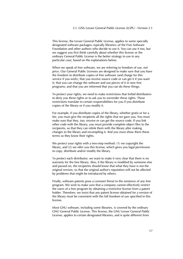This license, the Lesser General Public License, applies to some specially designated software packages--typically libraries--of the Free Software Foundation and other authors who decide to use it. You can use it too, but we suggest you first think carefully about whether this license or the ordinary General Public License is the better strategy to use in any particular case, based on the explanations below.

When we speak of free software, we are referring to freedom of use, not price. Our General Public Licenses are designed to make sure that you have the freedom to distribute copies of free software (and charge for this service if you wish); that you receive source code or can get it if you want it; that you can change the software and use pieces of it in new free programs; and that you are informed that you can do these things.

To protect your rights, we need to make restrictions that forbid distributors to deny you these rights or to ask you to surrender these rights. These restrictions translate to certain responsibilities for you if you distribute copies of the library or if you modify it.

For example, if you distribute copies of the library, whether gratis or for a fee, you must give the recipients all the rights that we gave you. You must make sure that they, too, receive or can get the source code. If you link other code with the library, you must provide complete object files to the recipients, so that they can relink them with the library after making changes to the library and recompiling it. And you must show them these terms so they know their rights.

We protect your rights with a two-step method: (1) we copyright the library, and (2) we offer you this license, which gives you legal permission to copy, distribute and/or modify the library.

To protect each distributor, we want to make it very clear that there is no warranty for the free library. Also, if the library is modified by someone else and passed on, the recipients should know that what they have is not the original version, so that the original author's reputation will not be affected by problems that might be introduced by others.

Finally, software patents pose a constant threat to the existence of any free program. We wish to make sure that a company cannot effectively restrict the users of a free program by obtaining a restrictive license from a patent holder. Therefore, we insist that any patent license obtained for a version of the library must be consistent with the full freedom of use specified in this license.

Most GNU software, including some libraries, is covered by the ordinary GNU General Public License. This license, the GNU Lesser General Public License, applies to certain designated libraries, and is quite different from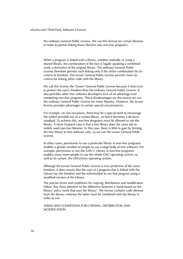the ordinary General Public License. We use this license for certain libraries in order to permit linking those libraries into non-free programs.

When a program is linked with a library, whether statically or using a shared library, the combination of the two is legally speaking a combined work, a derivative of the original library. The ordinary General Public License therefore permits such linking only if the entire combination fits its criteria of freedom. The Lesser General Public License permits more lax criteria for linking other code with the library.

We call this license the "Lesser" General Public License because it does Less to protect the user's freedom than the ordinary General Public License. It also provides other free software developers Less of an advantage over competing non-free programs. These disadvantages are the reason we use the ordinary General Public License for many libraries. However, the Lesser license provides advantages in certain special circumstances.

For example, on rare occasions, there may be a special need to encourage the widest possible use of a certain library, so that it becomes a de-facto standard. To achieve this, non-free programs must be allowed to use the library. A more frequent case is that a free library does the same job as widely used non-free libraries. In this case, there is little to gain by limiting the free library to free software only, so we use the Lesser General Public License.

In other cases, permission to use a particular library in non-free programs enables a greater number of people to use a large body of free software. For example, permission to use the GNU C Library in non-free programs enables many more people to use the whole GNU operating system, as well as its variant, the GNU/Linux operating system.

Although the Lesser General Public License is Less protective of the users' freedom, it does ensure that the user of a program that is linked with the Library has the freedom and the wherewithal to run that program using a modified version of the Library.

The precise terms and conditions for copying, distribution and modification follow. Pay close attention to the difference between a "work based on the library" and a "work that uses the library". The former contains code derived from the library, whereas the latter must be combined with the library in order to run.

TERMS AND CONDITIONS FOR COPYING, DISTRIBUTION AND MODIFICATION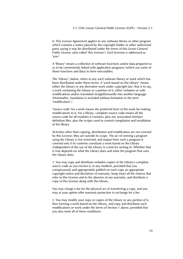0. This License Agreement applies to any software library or other program which contains a notice placed by the copyright holder or other authorized party saying it may be distributed under the terms of this Lesser General Public License (also called "this License"). Each licensee is addressed as "you".

A "library" means a collection of software functions and/or data prepared so as to be conveniently linked with application programs (which use some of those functions and data) to form executables.

The "Library", below, refers to any such software library or work which has been distributed under these terms. A "work based on the Library" means either the Library or any derivative work under copyright law: that is to say, a work containing the Library or a portion of it, either verbatim or with modifications and/or translated straightforwardly into another language. (Hereinafter, translation is included without limitation in the term "modification".)

"Source code" for a work means the preferred form of the work for making modifications to it. For a library, complete source code means all the source code for all modules it contains, plus any associated interface definition files, plus the scripts used to control compilation and installation of the library.

Activities other than copying, distribution and modification are not covered by this License; they are outside its scope. The act of running a program using the Library is not restricted, and output from such a program is covered only if its contents constitute a work based on the Library (independent of the use of the Library in a tool for writing it). Whether that is true depends on what the Library does and what the program that uses the Library does.

1. You may copy and distribute verbatim copies of the Library's complete source code as you receive it, in any medium, provided that you conspicuously and appropriately publish on each copy an appropriate copyright notice and disclaimer of warranty; keep intact all the notices that refer to this License and to the absence of any warranty; and distribute a copy of this License along with the Library.

You may charge a fee for the physical act of transferring a copy, and you may at your option offer warranty protection in exchange for a fee.

2. You may modify your copy or copies of the Library or any portion of it, thus forming a work based on the Library, and copy and distribute such modifications or work under the terms of Section 1 above, provided that you also meet all of these conditions: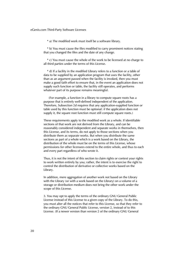\* a) The modified work must itself be a software library.

 \* b) You must cause the files modified to carry prominent notices stating that you changed the files and the date of any change.

 \* c) You must cause the whole of the work to be licensed at no charge to all third parties under the terms of this License.

 \* d) If a facility in the modified Library refers to a function or a table of data to be supplied by an application program that uses the facility, other than as an argument passed when the facility is invoked, then you must make a good faith effort to ensure that, in the event an application does not supply such function or table, the facility still operates, and performs whatever part of its purpose remains meaningful.

 (For example, a function in a library to compute square roots has a purpose that is entirely well-defined independent of the application. Therefore, Subsection 2d requires that any application-supplied function or table used by this function must be optional: if the application does not supply it, the square root function must still compute square roots.)

These requirements apply to the modified work as a whole. If identifiable sections of that work are not derived from the Library, and can be reasonably considered independent and separate works in themselves, then this License, and its terms, do not apply to those sections when you distribute them as separate works. But when you distribute the same sections as part of a whole which is a work based on the Library, the distribution of the whole must be on the terms of this License, whose permissions for other licensees extend to the entire whole, and thus to each and every part regardless of who wrote it.

Thus, it is not the intent of this section to claim rights or contest your rights to work written entirely by you; rather, the intent is to exercise the right to control the distribution of derivative or collective works based on the Library.

In addition, mere aggregation of another work not based on the Library with the Library (or with a work based on the Library) on a volume of a storage or distribution medium does not bring the other work under the scope of this License.

3. You may opt to apply the terms of the ordinary GNU General Public License instead of this License to a given copy of the Library. To do this, you must alter all the notices that refer to this License, so that they refer to the ordinary GNU General Public License, version 2, instead of to this License. (If a newer version than version 2 of the ordinary GNU General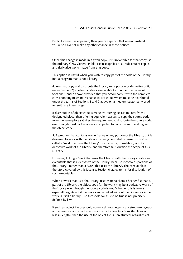3.1. GNU Lesser General Public License (LGPL) - Version 2.1

Public License has appeared, then you can specify that version instead if you wish.) Do not make any other change in these notices.

Once this change is made in a given copy, it is irreversible for that copy, so the ordinary GNU General Public License applies to all subsequent copies and derivative works made from that copy.

This option is useful when you wish to copy part of the code of the Library into a program that is not a library.

4. You may copy and distribute the Library (or a portion or derivative of it, under Section 2) in object code or executable form under the terms of Sections 1 and 2 above provided that you accompany it with the complete corresponding machine-readable source code, which must be distributed under the terms of Sections 1 and 2 above on a medium customarily used for software interchange.

If distribution of object code is made by offering access to copy from a designated place, then offering equivalent access to copy the source code from the same place satisfies the requirement to distribute the source code, even though third parties are not compelled to copy the source along with the object code.

5. A program that contains no derivative of any portion of the Library, but is designed to work with the Library by being compiled or linked with it, is called a "work that uses the Library". Such a work, in isolation, is not a derivative work of the Library, and therefore falls outside the scope of this License.

However, linking a "work that uses the Library" with the Library creates an executable that is a derivative of the Library (because it contains portions of the Library), rather than a "work that uses the library". The executable is therefore covered by this License. Section 6 states terms for distribution of such executables.

When a "work that uses the Library" uses material from a header file that is part of the Library, the object code for the work may be a derivative work of the Library even though the source code is not. Whether this is true is especially significant if the work can be linked without the Library, or if the work is itself a library. The threshold for this to be true is not precisely defined by law.

If such an object file uses only numerical parameters, data structure layouts and accessors, and small macros and small inline functions (ten lines or less in length), then the use of the object file is unrestricted, regardless of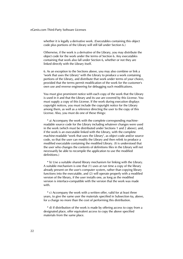whether it is legally a derivative work. (Executables containing this object code plus portions of the Library will still fall under Section 6.)

Otherwise, if the work is a derivative of the Library, you may distribute the object code for the work under the terms of Section 6. Any executables containing that work also fall under Section 6, whether or not they are linked directly with the Library itself.

6. As an exception to the Sections above, you may also combine or link a "work that uses the Library" with the Library to produce a work containing portions of the Library, and distribute that work under terms of your choice, provided that the terms permit modification of the work for the customer's own use and reverse engineering for debugging such modifications.

You must give prominent notice with each copy of the work that the Library is used in it and that the Library and its use are covered by this License. You must supply a copy of this License. If the work during execution displays copyright notices, you must include the copyright notice for the Library among them, as well as a reference directing the user to the copy of this License. Also, you must do one of these things:

 \* a) Accompany the work with the complete corresponding machinereadable source code for the Library including whatever changes were used in the work (which must be distributed under Sections 1 and 2 above); and, if the work is an executable linked with the Library, with the complete machine-readable "work that uses the Library", as object code and/or source code, so that the user can modify the Library and then relink to produce a modified executable containing the modified Library. (It is understood that the user who changes the contents of definitions files in the Library will not necessarily be able to recompile the application to use the modified definitions.)

 \* b) Use a suitable shared library mechanism for linking with the Library. A suitable mechanism is one that (1) uses at run time a copy of the library already present on the user's computer system, rather than copying library functions into the executable, and (2) will operate properly with a modified version of the library, if the user installs one, as long as the modified version is interface-compatible with the version that the work was made with.

 \* c) Accompany the work with a written offer, valid for at least three years, to give the same user the materials specified in Subsection 6a, above, for a charge no more than the cost of performing this distribution.

 \* d) If distribution of the work is made by offering access to copy from a designated place, offer equivalent access to copy the above specified materials from the same place.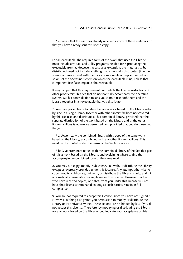# 3.1. GNU Lesser General Public License (LGPL) - Version 2.1

 \* e) Verify that the user has already received a copy of these materials or that you have already sent this user a copy.

For an executable, the required form of the "work that uses the Library" must include any data and utility programs needed for reproducing the executable from it. However, as a special exception, the materials to be distributed need not include anything that is normally distributed (in either source or binary form) with the major components (compiler, kernel, and so on) of the operating system on which the executable runs, unless that component itself accompanies the executable.

It may happen that this requirement contradicts the license restrictions of other proprietary libraries that do not normally accompany the operating system. Such a contradiction means you cannot use both them and the Library together in an executable that you distribute.

7. You may place library facilities that are a work based on the Library sideby-side in a single library together with other library facilities not covered by this License, and distribute such a combined library, provided that the separate distribution of the work based on the Library and of the other library facilities is otherwise permitted, and provided that you do these two things:

 \* a) Accompany the combined library with a copy of the same work based on the Library, uncombined with any other library facilities. This must be distributed under the terms of the Sections above.

 \* b) Give prominent notice with the combined library of the fact that part of it is a work based on the Library, and explaining where to find the accompanying uncombined form of the same work.

8. You may not copy, modify, sublicense, link with, or distribute the Library except as expressly provided under this License. Any attempt otherwise to copy, modify, sublicense, link with, or distribute the Library is void, and will automatically terminate your rights under this License. However, parties who have received copies, or rights, from you under this License will not have their licenses terminated so long as such parties remain in full compliance.

9. You are not required to accept this License, since you have not signed it. However, nothing else grants you permission to modify or distribute the Library or its derivative works. These actions are prohibited by law if you do not accept this License. Therefore, by modifying or distributing the Library (or any work based on the Library), you indicate your acceptance of this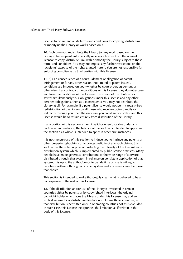License to do so, and all its terms and conditions for copying, distributing or modifying the Library or works based on it.

10. Each time you redistribute the Library (or any work based on the Library), the recipient automatically receives a license from the original licensor to copy, distribute, link with or modify the Library subject to these terms and conditions. You may not impose any further restrictions on the recipients' exercise of the rights granted herein. You are not responsible for enforcing compliance by third parties with this License.

11. If, as a consequence of a court judgment or allegation of patent infringement or for any other reason (not limited to patent issues), conditions are imposed on you (whether by court order, agreement or otherwise) that contradict the conditions of this License, they do not excuse you from the conditions of this License. If you cannot distribute so as to satisfy simultaneously your obligations under this License and any other pertinent obligations, then as a consequence you may not distribute the Library at all. For example, if a patent license would not permit royalty-free redistribution of the Library by all those who receive copies directly or indirectly through you, then the only way you could satisfy both it and this License would be to refrain entirely from distribution of the Library.

If any portion of this section is held invalid or unenforceable under any particular circumstance, the balance of the section is intended to apply, and the section as a whole is intended to apply in other circumstances.

It is not the purpose of this section to induce you to infringe any patents or other property right claims or to contest validity of any such claims; this section has the sole purpose of protecting the integrity of the free software distribution system which is implemented by public license practices. Many people have made generous contributions to the wide range of software distributed through that system in reliance on consistent application of that system; it is up to the author/donor to decide if he or she is willing to distribute software through any other system and a licensee cannot impose that choice.

This section is intended to make thoroughly clear what is believed to be a consequence of the rest of this License.

12. If the distribution and/or use of the Library is restricted in certain countries either by patents or by copyrighted interfaces, the original copyright holder who places the Library under this License may add an explicit geographical distribution limitation excluding those countries, so that distribution is permitted only in or among countries not thus excluded. In such case, this License incorporates the limitation as if written in the body of this License.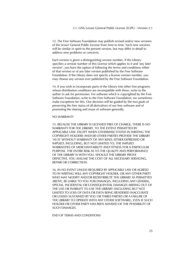13. The Free Software Foundation may publish revised and/or new versions of the Lesser General Public License from time to time. Such new versions will be similar in spirit to the present version, but may differ in detail to address new problems or concerns.

Each version is given a distinguishing version number. If the Library specifies a version number of this License which applies to it and "any later version", you have the option of following the terms and conditions either of that version or of any later version published by the Free Software Foundation. If the Library does not specify a license version number, you may choose any version ever published by the Free Software Foundation.

14. If you wish to incorporate parts of the Library into other free programs whose distribution conditions are incompatible with these, write to the author to ask for permission. For software which is copyrighted by the Free Software Foundation, write to the Free Software Foundation; we sometimes make exceptions for this. Our decision will be guided by the two goals of preserving the free status of all derivatives of our free software and of promoting the sharing and reuse of software generally.

# NO WARRANTY

15. BECAUSE THE LIBRARY IS LICENSED FREE OF CHARGE, THERE IS NO WARRANTY FOR THE LIBRARY, TO THE EXTENT PERMITTED BY APPLICABLE LAW. EXCEPT WHEN OTHERWISE STATED IN WRITING THE COPYRIGHT HOLDERS AND/OR OTHER PARTIES PROVIDE THE LIBRARY "AS IS" WITHOUT WARRANTY OF ANY KIND, EITHER EXPRESSED OR IMPLIED, INCLUDING, BUT NOT LIMITED TO, THE IMPLIED WARRANTIES OF MERCHANTABILITY AND FITNESS FOR A PARTICULAR PURPOSE. THE ENTIRE RISK AS TO THE QUALITY AND PERFORMANCE OF THE LIBRARY IS WITH YOU. SHOULD THE LIBRARY PROVE DEFECTIVE, YOU ASSUME THE COST OF ALL NECESSARY SERVICING, REPAIR OR CORRECTION.

16. IN NO EVENT UNLESS REQUIRED BY APPLICABLE LAW OR AGREED TO IN WRITING WILL ANY COPYRIGHT HOLDER, OR ANY OTHER PARTY WHO MAY MODIFY AND/OR REDISTRIBUTE THE LIBRARY AS PERMITTED ABOVE, BE LIABLE TO YOU FOR DAMAGES, INCLUDING ANY GENERAL, SPECIAL, INCIDENTAL OR CONSEQUENTIAL DAMAGES ARISING OUT OF THE USE OR INABILITY TO USE THE LIBRARY (INCLUDING BUT NOT LIMITED TO LOSS OF DATA OR DATA BEING RENDERED INACCURATE OR LOSSES SUSTAINED BY YOU OR THIRD PARTIES OR A FAILURE OF THE LIBRARY TO OPERATE WITH ANY OTHER SOFTWARE), EVEN IF SUCH HOLDER OR OTHER PARTY HAS BEEN ADVISED OF THE POSSIBILITY OF SUCH DAMAGES.

END OF TERMS AND CONDITIONS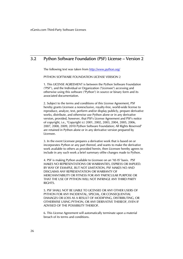# <span id="page-29-0"></span>3.2 Python Software Foundation (PSF) License – Version 2

<span id="page-29-1"></span>The following text was taken from *<http://www.python.org/>*

PYTHON SOFTWARE FOUNDATION LICENSE VERSION 2

1. This LICENSE AGREEMENT is between the Python Software Foundation ("PSF"), and the Individual or Organization ("Licensee") accessing and otherwise using this software ("Python") in source or binary form and its associated documentation.

2. Subject to the terms and conditions of this License Agreement, PSF hereby grants Licensee a nonexclusive, royalty-free, world-wide license to reproduce, analyze, test, perform and/or display publicly, prepare derivative works, distribute, and otherwise use Python alone or in any derivative version, provided, however, that PSF's License Agreement and PSF's notice of copyright, i.e., "Copyright (c) 2001, 2002, 2003, 2004, 2005, 2006, 2007, 2008, 2009, 2010 Python Software Foundation; All Rights Reserved" are retained in Python alone or in any derivative version prepared by Licensee.

3. In the event Licensee prepares a derivative work that is based on or incorporates Python or any part thereof, and wants to make the derivative work available to others as provided herein, then Licensee hereby agrees to include in any such work a brief summary ofthe changes made to Python.

4. PSF is making Python available to Licensee on an "AS IS" basis. PSF MAKES NO REPRESENTATIONS OR WARRANTIES, EXPRESS OR IMPLIED. BY WAY OF EXAMPLE, BUT NOT LIMITATION, PSF MAKES NO AND DISCLAIMS ANY REPRESENTATION OR WARRANTY OF MERCHANTABILITY OR FITNESS FOR ANY PARTICULAR PURPOSE OR THAT THE USE OF PYTHON WILL NOT INFRINGE ANY THIRD PARTY RIGHTS.

5. PSF SHALL NOT BE LIABLE TO LICENSEE OR ANY OTHER USERS OF PYTHON FOR ANY INCIDENTAL, SPECIAL, OR CONSEQUENTIAL DAMAGES OR LOSS AS A RESULT OF MODIFYING, DISTRIBUTING, OR OTHERWISE USING PYTHON, OR ANY DERIVATIVE THEREOF, EVEN IF ADVISED OF THE POSSIBILITY THEREOF.

6. This License Agreement will automatically terminate upon a material breach of its terms and conditions.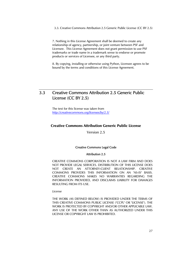<span id="page-30-0"></span>3.3. Creative Commons Attribution 2.5 Generic Public License (CC BY 2.5)

7. Nothing in this License Agreement shall be deemed to create any relationship of agency, partnership, or joint venture between PSF and Licensee. This License Agreement does not grant permission to use PSF trademarks or trade name in a trademark sense to endorse or promote products or services of Licensee, or any third party.

8. By copying, installing or otherwise using Python, Licensee agrees to be bound by the terms and conditions of this License Agreement.

# <span id="page-30-1"></span>3.3 Creative Commons Attribution 2.5 Generic Public License (CC BY 2.5)

The text for this license was taken from *<http://creativecommons.org/licenses/by/2.5/>*

# Creative Commons Attribution Generic Public License

Version 2.5

# Creative Commons Legal Code

# Attribution 2.5

CREATIVE COMMONS CORPORATION IS NOT A LAW FIRM AND DOES NOT PROVIDE LEGAL SERVICES. DISTRIBUTION OF THIS LICENSE DOES NOT CREATE AN ATTORNEY-CLIENT RELATIONSHIP. CREATIVE COMMONS PROVIDES THIS INFORMATION ON AN "AS-IS" BASIS. CREATIVE COMMONS MAKES NO WARRANTIES REGARDING THE INFORMATION PROVIDED, AND DISCLAIMS LIABILITY FOR DAMAGES RESULTING FROM ITS USE.

### *License*

THE WORK (AS DEFINED BELOW) IS PROVIDED UNDER THE TERMS OF THIS CREATIVE COMMONS PUBLIC LICENSE ("CCPL" OR "LICENSE"). THE WORK IS PROTECTED BY COPYRIGHT AND/OR OTHER APPLICABLE LAW. ANY USE OF THE WORK OTHER THAN AS AUTHORIZED UNDER THIS LICENSE OR COPYRIGHT LAW IS PROHIBITED.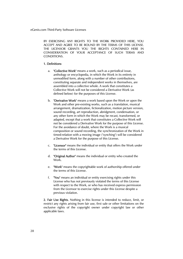BY EXERCISING ANY RIGHTS TO THE WORK PROVIDED HERE, YOU ACCEPT AND AGREE TO BE BOUND BY THE TERMS OF THIS LICENSE. THE LICENSOR GRANTS YOU THE RIGHTS CONTAINED HERE IN CONSIDERATION OF YOUR ACCEPTANCE OF SUCH TERMS AND CONDITIONS.

# 1. Definitions

- a. "Collective Work" means a work, such as a periodical issue, anthology or encyclopedia, in which the Work in its entirety in unmodified form, along with a number of other contributions, constituting separate and independent works in themselves, are assembled into a collective whole. A work that constitutes a Collective Work will not be considered a Derivative Work (as defined below) for the purposes of this License.
- b. "Derivative Work" means a work based upon the Work or upon the Work and other pre-existing works, such as a translation, musical arrangement, dramatization, fictionalization, motion picture version, sound recording, art reproduction, abridgment, condensation, or any other form in which the Work may be recast, transformed, or adapted, except that a work that constitutes a Collective Work will not be considered a Derivative Work for the purpose of this License. For the avoidance of doubt, where the Work is a musical composition or sound recording, the synchronization of the Work in timed-relation with a moving image ("synching") will be considered a Derivative Work for the purpose of this License.
- c. "Licensor" means the individual or entity that offers the Work under the terms of this License.
- d. "Original Author" means the individual or entity who created the Work.
- e. "Work" means the copyrightable work of authorship offered under the terms of this License.
- f. "You" means an individual or entity exercising rights under this License who has not previously violated the terms of this License with respect to the Work, or who has received express permission from the Licensor to exercise rights under this License despite a previous violation.

2. Fair Use Rights. Nothing in this license is intended to reduce, limit, or restrict any rights arising from fair use, first sale or other limitations on the exclusive rights of the copyright owner under copyright law or other applicable laws.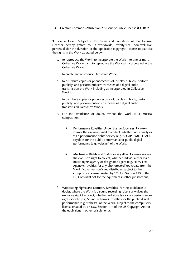3.3. Creative Commons Attribution 2.5 Generic Public License (CC BY 2.5)

3. License Grant. Subject to the terms and conditions of this License, Licensor hereby grants You a worldwide, royalty-free, non-exclusive, perpetual (for the duration of the applicable copyright) license to exercise the rights in the Work as stated below:

- a. to reproduce the Work, to incorporate the Work into one or more Collective Works, and to reproduce the Work as incorporated in the Collective Works;
- b. to create and reproduce Derivative Works;
- c. to distribute copies or phonorecords of, display publicly, perform publicly, and perform publicly by means of a digital audio transmission the Work including as incorporated in Collective Works:
- d. to distribute copies or phonorecords of, display publicly, perform publicly, and perform publicly by means of a digital audio transmission Derivative Works.
- e. For the avoidance of doubt, where the work is a musical composition:
	- i. Performance Royalties Under Blanket Licenses. Licensor waives the exclusive right to collect, whether individually or via a performance rights society (e.g. ASCAP, BMI, SESAC), royalties for the public performance or public digital performance (e.g. webcast) of the Work.
	- ii. Mechanical Rights and Statutory Royalties. Licensor waives the exclusive right to collect, whether individually or via a music rights agency or designated agent (e.g. Harry Fox Agency), royalties for any phonorecord You create from the Work ("cover version") and distribute, subject to the compulsory license created by 17 USC Section 115 of the US Copyright Act (or the equivalent in other jurisdictions).
- f. Webcasting Rights and Statutory Royalties. For the avoidance of doubt, where the Work is a sound recording, Licensor waives the exclusive right to collect, whether individually or via a performancerights society (e.g. SoundExchange), royalties for the public digital performance (e.g. webcast) of the Work, subject to the compulsory license created by 17 USC Section 114 of the US Copyright Act (or the equivalent in other jurisdictions).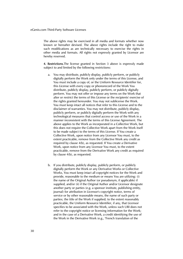The above rights may be exercised in all media and formats whether now known or hereafter devised. The above rights include the right to make such modifications as are technically necessary to exercise the rights in other media and formats. All rights not expressly granted by Licensor are hereby reserved.

4. Restrictions.The license granted in Section 3 above is expressly made subject to and limited by the following restrictions:

- a. You may distribute, publicly display, publicly perform, or publicly digitally perform the Work only under the terms of this License, and You must include a copy of, or the Uniform Resource Identifier for, this License with every copy or phonorecord of the Work You distribute, publicly display, publicly perform, or publicly digitally perform. You may not offer or impose any terms on the Work that alter or restrict the terms of this License or the recipients' exercise of the rights granted hereunder. You may not sublicense the Work. You must keep intact all notices that refer to this License and to the disclaimer of warranties. You may not distribute, publicly display, publicly perform, or publicly digitally perform the Work with any technological measures that control access or use of the Work in a manner inconsistent with the terms of this License Agreement. The above applies to the Work as incorporated in a Collective Work, but this does not require the Collective Work apart from the Work itself to be made subject to the terms of this License. If You create a Collective Work, upon notice from any Licensor You must, to the extent practicable, remove from the Collective Work any credit as required by clause 4(b), as requested. If You create a Derivative Work, upon notice from any Licensor You must, to the extent practicable, remove from the Derivative Work any credit as required by clause 4(b), as requested.
- b. If you distribute, publicly display, publicly perform, or publicly digitally perform the Work or any Derivative Works or Collective Works, You must keep intact all copyright notices for the Work and provide, reasonable to the medium or means You are utilizing: (i) the name of the Original Author (or pseudonym, if applicable) if supplied, and/or (ii) if the Original Author and/or Licensor designate another party or parties (e.g. a sponsor institute, publishing entity, journal) for attribution in Licensor's copyright notice, terms of service or by other reasonable means, the name of such party or parties; the title of the Work if supplied; to the extent reasonably practicable, the Uniform Resource Identifier, if any, that Licensor specifies to be associated with the Work, unless such URI does not refer to the copyright notice or licensing information for the Work; and in the case of a Derivative Work, a credit identifying the use of the Work in the Derivative Work (e.g., "French translation of the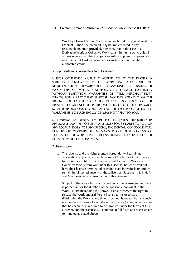3.3. Creative Commons Attribution 2.5 Generic Public License (CC BY 2.5)

Work by Original Author," or "Screenplay based on original Work by Original Author"). Such credit may be implemented in any reasonable manner; provided, however, that in the case of a Derivative Work or Collective Work, at a minimum such credit will appear where any other comparable authorship credit appears and in a manner at least as prominent as such other comparable authorship credit.

# 5. Representations, Warranties and Disclaimer

UNLESS OTHERWISE MUTUALLY AGREED TO BY THE PARTIES IN WRITING, LICENSOR OFFERS THE WORK AS-IS AND MAKES NO REPRESENTATIONS OR WARRANTIES OF ANY KIND CONCERNING THE WORK, EXPRESS, IMPLIED, STATUTORY OR OTHERWISE, INCLUDING, WITHOUT LIMITATION, WARRANTIES OF TITLE, MERCHANTIBILITY, FITNESS FOR A PARTICULAR PURPOSE, NONINFRINGEMENT, OR THE ABSENCE OF LATENT OR OTHER DEFECTS, ACCURACY, OR THE PRESENCE OF ABSENCE OF ERRORS, WHETHER OR NOT DISCOVERABLE. SOME JURISDICTIONS DO NOT ALLOW THE EXCLUSION OF IMPLIED WARRANTIES, SO SUCH EXCLUSION MAY NOT APPLY TO YOU.

6. Limitation on Liability. EXCEPT TO THE EXTENT REQUIRED BY APPLICABLE LAW, IN NO EVENT WILL LICENSOR BE LIABLE TO YOU ON ANY LEGAL THEORY FOR ANY SPECIAL, INCIDENTAL, CONSEQUENTIAL, PUNITIVE OR EXEMPLARY DAMAGES ARISING OUT OF THIS LICENSE OR THE USE OF THE WORK, EVEN IF LICENSOR HAS BEEN ADVISED OF THE POSSIBILITY OF SUCH DAMAGES.

# 7. Termination

- a. This License and the rights granted hereunder will terminate automatically upon any breach by You of the terms of this License. Individuals or entities who have received Derivative Works or Collective Works from You under this License, however, will not have their licenses terminated provided such individuals or entities remain in full compliance with those licenses. Sections 1, 2, 5, 6, 7, and 8 will survive any termination of this License.
- b. Subject to the above terms and conditions, the license granted here is perpetual (for the duration of the applicable copyright in the Work). Notwithstanding the above, Licensor reserves the right to release the Work under different license terms or to stop distributing the Work at any time; provided, however that any such election will not serve to withdraw this License (or any other license that has been, or is required to be, granted under the terms of this License), and this License will continue in full force and effect unless terminated as stated above.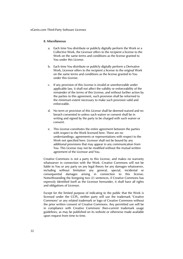# 8. Miscellaneous

- a. Each time You distribute or publicly digitally perform the Work or a Collective Work, the Licensor offers to the recipient a license to the Work on the same terms and conditions as the license granted to You under this License.
- b. Each time You distribute or publicly digitally perform a Derivative Work, Licensor offers to the recipient a license to the original Work on the same terms and conditions as the license granted to You under this License.
- c. If any provision of this License is invalid or unenforceable under applicable law, it shall not affect the validity or enforceability of the remainder of the terms of this License, and without further action by the parties to this agreement, such provision shall be reformed to the minimum extent necessary to make such provision valid and enforceable.
- d. No term or provision of this License shall be deemed waived and no breach consented to unless such waiver or consent shall be in writing and signed by the party to be charged with such waiver or consent.
- e. This License constitutes the entire agreement between the parties with respect to the Work licensed here. There are no understandings, agreements or representations with respect to the Work not specified here. Licensor shall not be bound by any additional provisions that may appear in any communication from You. This License may not be modified without the mutual written agreement of the Licensor and You.

Creative Commons is not a party to this License, and makes no warranty whatsoever in connection with the Work. Creative Commons will not be liable to You or any party on any legal theory for any damages whatsoever, including without limitation any general, special, incidental or consequential damages arising in connection to this license. Notwithstanding the foregoing two (2) sentences, if Creative Commons has expressly identified itself as the Licensor hereunder, it shall have all rights and obligations of Licensor.

Except for the limited purpose of indicating to the public that the Work is licensed under the CCPL, neither party will use the trademark "Creative Commons" or any related trademark or logo of Creative Commons without the prior written consent of Creative Commons. Any permitted use will be in compliance with Creative Commons' then-current trademark usage guidelines, as may be published on its website or otherwise made available upon request from time to time.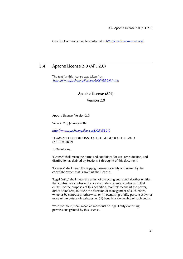Creative Commons may be contacted at *<http://creativecommons.org/>*.

# 3.4 Apache License 2.0 (APL 2.0)

<span id="page-36-0"></span>The text for this license was taken from *<http://www.apache.org/licenses/LICENSE-2.0.html>*:

# Apache License (APL)

Version 2.0

Apache License, Version 2.0

Version 2.0, January 2004

*http://www.apache.org/licenses/LICENSE-2.0*

TERMS AND CONDITIONS FOR USE, REPRODUCTION, AND DISTRIBUTION

1. Definitions.

"License" shall mean the terms and conditions for use, reproduction, and distribution as defined by Sections 1 through 9 of this document.

"Licensor" shall mean the copyright owner or entity authorized by the copyright owner that is granting the License.

"Legal Entity" shall mean the union of the acting entity and all other entities that control, are controlled by, or are under common control with that entity. For the purposes of this definition, "control" means (i) the power, direct or indirect, to cause the direction or management of such entity, whether by contract or otherwise, or (ii) ownership of fifty percent (50%) or more of the outstanding shares, or (iii) beneficial ownership of such entity.

"You" (or "Your") shall mean an individual or Legal Entity exercising permissions granted by this License.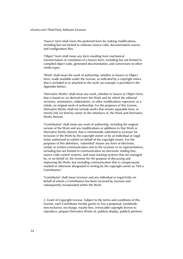"Source" form shall mean the preferred form for making modifications, including but not limited to software source code, documentation source, and configuration files.

"Object" form shall mean any form resulting from mechanical transformation or translation of a Source form, including but not limited to compiled object code, generated documentation, and conversions to other media types.

"Work" shall mean the work of authorship, whether in Source or Object form, made available under the License, as indicated by a copyright notice that is included in or attached to the work (an example is provided in the Appendix below).

"Derivative Works" shall mean any work, whether in Source or Object form, that is based on (or derived from) the Work and for which the editorial revisions, annotations, elaborations, or other modifications represent, as a whole, an original work of authorship. For the purposes of this License, Derivative Works shall not include works that remain separable from, or merely link (or bind by name) to the interfaces of, the Work and Derivative Works thereof.

"Contribution" shall mean any work of authorship, including the original version of the Work and any modifications or additions to that Work or Derivative Works thereof, that is intentionally submitted to Licensor for inclusion in the Work by the copyright owner or by an individual or Legal Entity authorized to submit on behalf of the copyright owner. For the purposes of this definition, "submitted" means any form of electronic, verbal, or written communication sent to the Licensor or its representatives, including but not limited to communication on electronic mailing lists, source code control systems, and issue tracking systems that are managed by, or on behalf of, the Licensor for the purpose of discussing and improving the Work, but excluding communication that is conspicuously marked or otherwise designated in writing by the copyright owner as "Not a Contribution."

"Contributor" shall mean Licensor and any individual or Legal Entity on behalf of whom a Contribution has been received by Licensor and subsequently incorporated within the Work.

2. Grant of Copyright License. Subject to the terms and conditions of this License, each Contributor hereby grants to You a perpetual, worldwide, non-exclusive, no-charge, royalty-free, irrevocable copyright license to reproduce, prepare Derivative Works of, publicly display, publicly perform,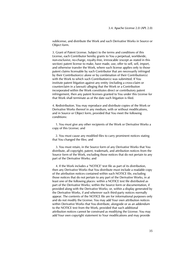sublicense, and distribute the Work and such Derivative Works in Source or Object form.

3. Grant of Patent License. Subject to the terms and conditions of this License, each Contributor hereby grants to You a perpetual, worldwide, non-exclusive, no-charge, royalty-free, irrevocable (except as stated in this section) patent license to make, have made, use, offer to sell, sell, import, and otherwise transfer the Work, where such license applies only to those patent claims licensable by such Contributor that are necessarily infringed by their Contribution(s) alone or by combination of their Contribution(s) with the Work to which such Contribution(s) was submitted. If You institute patent litigation against any entity (including a cross-claim or counterclaim in a lawsuit) alleging that the Work or a Contribution incorporated within the Work constitutes direct or contributory patent infringement, then any patent licenses granted to You under this License for that Work shall terminate as of the date such litigation is filed.

4. Redistribution. You may reproduce and distribute copies of the Work or Derivative Works thereof in any medium, with or without modifications, and in Source or Object form, provided that You meet the following conditions:

 1. You must give any other recipients of the Work or Derivative Works a copy of this License; and

 2. You must cause any modified files to carry prominent notices stating that You changed the files; and

 3. You must retain, in the Source form of any Derivative Works that You distribute, all copyright, patent, trademark, and attribution notices from the Source form of the Work, excluding those notices that do not pertain to any part of the Derivative Works; and

 4. If the Work includes a "NOTICE" text file as part of its distribution, then any Derivative Works that You distribute must include a readable copy of the attribution notices contained within such NOTICE file, excluding those notices that do not pertain to any part of the Derivative Works, in at least one of the following places: within a NOTICE text file distributed as part of the Derivative Works; within the Source form or documentation, if provided along with the Derivative Works; or, within a display generated by the Derivative Works, if and wherever such third-party notices normally appear. The contents of the NOTICE file are for informational purposes only and do not modify the License. You may add Your own attribution notices within Derivative Works that You distribute, alongside or as an addendum to the NOTICE text from the Work, provided that such additional attribution notices cannot be construed as modifying the License. You may add Your own copyright statement to Your modifications and may provide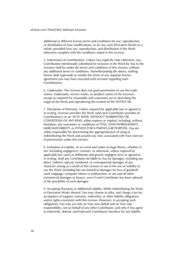additional or different license terms and conditions for use, reproduction, or distribution of Your modifications, or for any such Derivative Works as a whole, provided Your use, reproduction, and distribution of the Work otherwise complies with the conditions stated in this License.

5. Submission of Contributions. Unless You explicitly state otherwise, any Contribution intentionally submitted for inclusion in the Work by You to the Licensor shall be under the terms and conditions of this License, without any additional terms or conditions. Notwithstanding the above, nothing herein shall supersede or modify the terms of any separate license agreement you may have executed with Licensor regarding such Contributions.

6. Trademarks. This License does not grant permission to use the trade names, trademarks, service marks, or product names of the Licensor, except as required for reasonable and customary use in describing the origin of the Work and reproducing the content of the NOTICE file.

7. Disclaimer of Warranty. Unless required by applicable law or agreed to in writing, Licensor provides the Work (and each Contributor provides its Contributions) on an "AS IS" BASIS, WITHOUT WARRANTIES OR CONDITIONS OF ANY KIND, either express or implied, including, without limitation, any warranties or conditions of TITLE, NON-INFRINGEMENT, MERCHANTABILITY, or FITNESS FOR A PARTICULAR PURPOSE. You are solely responsible for determining the appropriateness of using or redistributing the Work and assume any risks associated with Your exercise of permissions under this License.

8. Limitation of Liability. In no event and under no legal theory, whether in tort (including negligence), contract, or otherwise, unless required by applicable law (such as deliberate and grossly negligent acts) or agreed to in writing, shall any Contributor be liable to You for damages, including any direct, indirect, special, incidental, or consequential damages of any character arising as a result of this License or out of the use or inability to use the Work (including but not limited to damages for loss of goodwill, work stoppage, computer failure or malfunction, or any and all other commercial damages or losses), even if such Contributor has been advised of the possibility of such damages.

9. Accepting Warranty or Additional Liability. While redistributing the Work or Derivative Works thereof, You may choose to offer, and charge a fee for, acceptance of support, warranty, indemnity, or other liability obligations and/or rights consistent with this License. However, in accepting such obligations, You may act only on Your own behalf and on Your sole responsibility, not on behalf of any other Contributor, and only if You agree to indemnify, defend, and hold each Contributor harmless for any liability